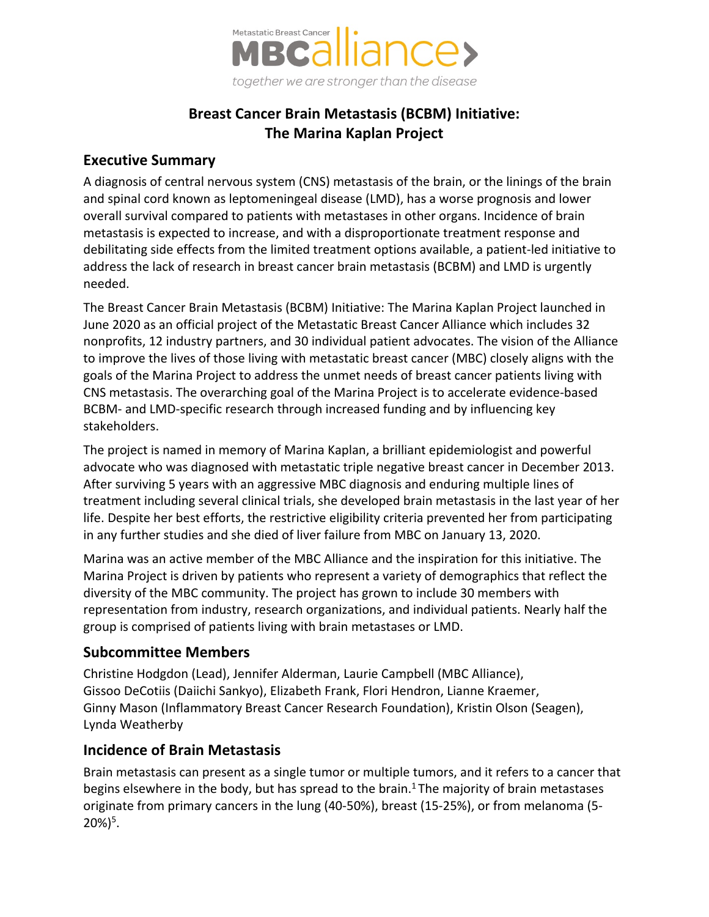

## **Breast Cancer Brain Metastasis (BCBM) Initiative: The Marina Kaplan Project**

#### **Executive Summary**

A diagnosis of central nervous system (CNS) metastasis of the brain, or the linings of the brain and spinal cord known as leptomeningeal disease (LMD), has a worse prognosis and lower overall survival compared to patients with metastases in other organs. Incidence of brain metastasis is expected to increase, and with a disproportionate treatment response and debilitating side effects from the limited treatment options available, a patient-led initiative to address the lack of research in breast cancer brain metastasis (BCBM) and LMD is urgently needed.

The Breast Cancer Brain Metastasis (BCBM) Initiative: The Marina Kaplan Project launched in June 2020 as an official project of the Metastatic Breast Cancer Alliance which includes 32 nonprofits, 12 industry partners, and 30 individual patient advocates. The vision of the Alliance to improve the lives of those living with metastatic breast cancer (MBC) closely aligns with the goals of the Marina Project to address the unmet needs of breast cancer patients living with CNS metastasis. The overarching goal of the Marina Project is to accelerate evidence-based BCBM- and LMD-specific research through increased funding and by influencing key stakeholders.

The project is named in memory of Marina Kaplan, a brilliant epidemiologist and powerful advocate who was diagnosed with metastatic triple negative breast cancer in December 2013. After surviving 5 years with an aggressive MBC diagnosis and enduring multiple lines of treatment including several clinical trials, she developed brain metastasis in the last year of her life. Despite her best efforts, the restrictive eligibility criteria prevented her from participating in any further studies and she died of liver failure from MBC on January 13, 2020.

Marina was an active member of the MBC Alliance and the inspiration for this initiative. The Marina Project is driven by patients who represent a variety of demographics that reflect the diversity of the MBC community. The project has grown to include 30 members with representation from industry, research organizations, and individual patients. Nearly half the group is comprised of patients living with brain metastases or LMD.

## **Subcommittee Members**

Christine Hodgdon (Lead), Jennifer Alderman, Laurie Campbell (MBC Alliance), Gissoo DeCotiis (Daiichi Sankyo), Elizabeth Frank, Flori Hendron, Lianne Kraemer, Ginny Mason (Inflammatory Breast Cancer Research Foundation), Kristin Olson (Seagen), Lynda Weatherby

## **Incidence of Brain Metastasis**

Brain metastasis can present as a single tumor or multiple tumors, and it refers to a cancer that begins elsewhere in the body, but has spread to the brain.<sup>1</sup> The majority of brain metastases originate from primary cancers in the lung (40-50%), breast (15-25%), or from melanoma (5-  $20\%/5$ .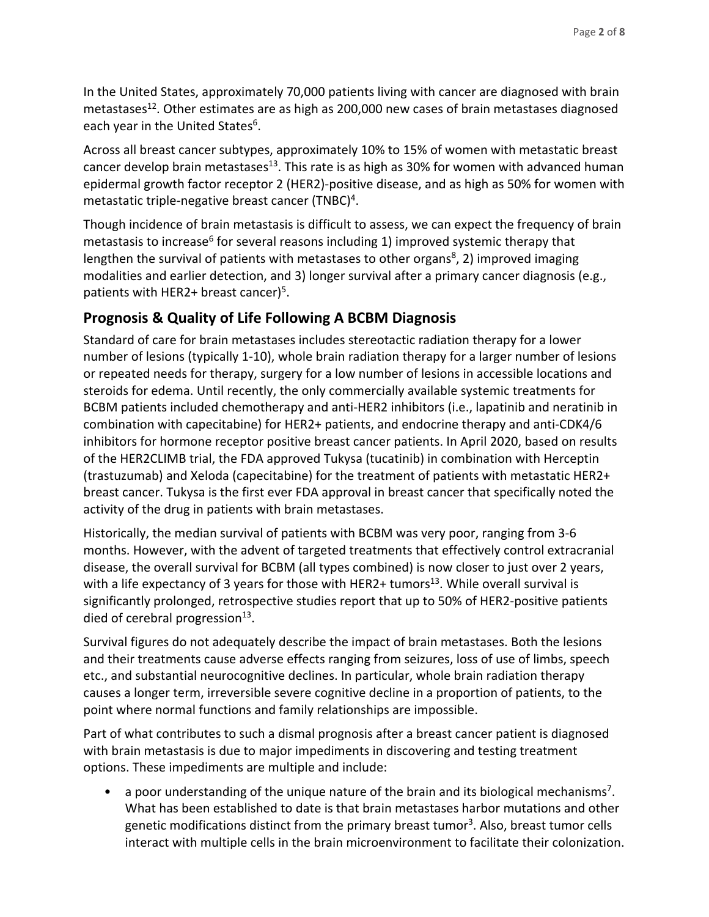In the United States, approximately 70,000 patients living with cancer are diagnosed with brain metastases<sup>12</sup>. Other estimates are as high as 200,000 new cases of brain metastases diagnosed each year in the United States<sup>6</sup>.

Across all breast cancer subtypes, approximately 10% to 15% of women with metastatic breast cancer develop brain metastases<sup>13</sup>. This rate is as high as 30% for women with advanced human epidermal growth factor receptor 2 (HER2)-positive disease, and as high as 50% for women with metastatic triple-negative breast cancer (TNBC)<sup>4</sup>.

Though incidence of brain metastasis is difficult to assess, we can expect the frequency of brain metastasis to increase<sup>6</sup> for several reasons including 1) improved systemic therapy that lengthen the survival of patients with metastases to other organs<sup>8</sup>, 2) improved imaging modalities and earlier detection, and 3) longer survival after a primary cancer diagnosis (e.g., patients with HER2+ breast cancer)<sup>5</sup>.

## **Prognosis & Quality of Life Following A BCBM Diagnosis**

Standard of care for brain metastases includes stereotactic radiation therapy for a lower number of lesions (typically 1-10), whole brain radiation therapy for a larger number of lesions or repeated needs for therapy, surgery for a low number of lesions in accessible locations and steroids for edema. Until recently, the only commercially available systemic treatments for BCBM patients included chemotherapy and anti-HER2 inhibitors (i.e., lapatinib and neratinib in combination with capecitabine) for HER2+ patients, and endocrine therapy and anti-CDK4/6 inhibitors for hormone receptor positive breast cancer patients. In April 2020, based on results of the HER2CLIMB trial, the FDA approved Tukysa (tucatinib) in combination with Herceptin (trastuzumab) and Xeloda (capecitabine) for the treatment of patients with metastatic HER2+ breast cancer. Tukysa is the first ever FDA approval in breast cancer that specifically noted the activity of the drug in patients with brain metastases.

Historically, the median survival of patients with BCBM was very poor, ranging from 3-6 months. However, with the advent of targeted treatments that effectively control extracranial disease, the overall survival for BCBM (all types combined) is now closer to just over 2 years, with a life expectancy of 3 years for those with HER2+ tumors<sup>13</sup>. While overall survival is significantly prolonged, retrospective studies report that up to 50% of HER2-positive patients died of cerebral progression<sup>13</sup>.

Survival figures do not adequately describe the impact of brain metastases. Both the lesions and their treatments cause adverse effects ranging from seizures, loss of use of limbs, speech etc., and substantial neurocognitive declines. In particular, whole brain radiation therapy causes a longer term, irreversible severe cognitive decline in a proportion of patients, to the point where normal functions and family relationships are impossible.

Part of what contributes to such a dismal prognosis after a breast cancer patient is diagnosed with brain metastasis is due to major impediments in discovering and testing treatment options. These impediments are multiple and include:

• a poor understanding of the unique nature of the brain and its biological mechanisms<sup>7</sup>. What has been established to date is that brain metastases harbor mutations and other genetic modifications distinct from the primary breast tumor<sup>3</sup>. Also, breast tumor cells interact with multiple cells in the brain microenvironment to facilitate their colonization.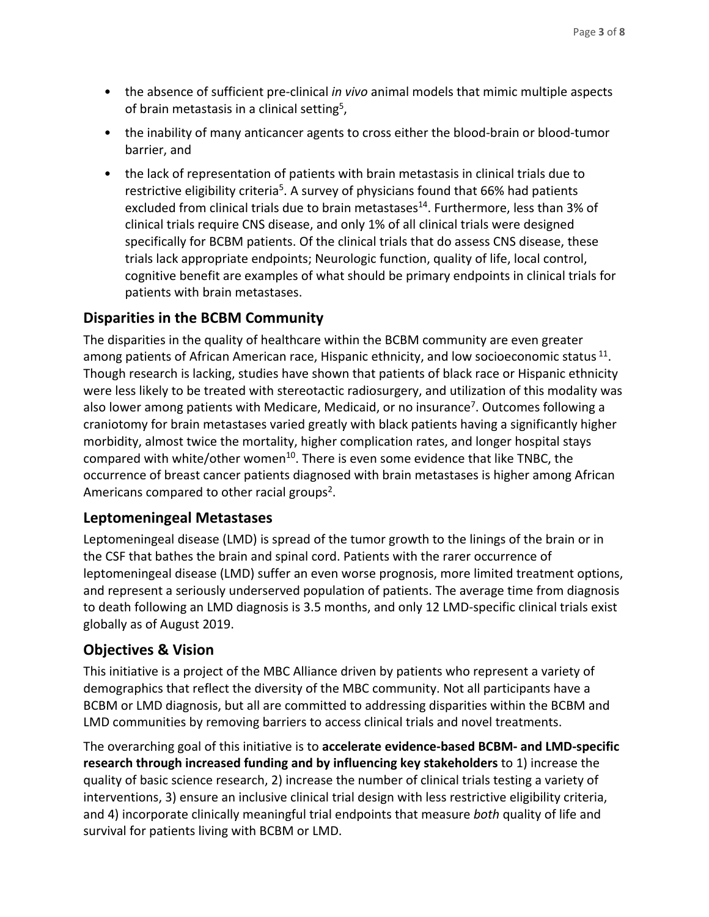- the absence of sufficient pre-clinical *in vivo* animal models that mimic multiple aspects of brain metastasis in a clinical setting5,
- the inability of many anticancer agents to cross either the blood-brain or blood-tumor barrier, and
- the lack of representation of patients with brain metastasis in clinical trials due to restrictive eligibility criteria<sup>5</sup>. A survey of physicians found that 66% had patients excluded from clinical trials due to brain metastases<sup>14</sup>. Furthermore, less than 3% of clinical trials require CNS disease, and only 1% of all clinical trials were designed specifically for BCBM patients. Of the clinical trials that do assess CNS disease, these trials lack appropriate endpoints; Neurologic function, quality of life, local control, cognitive benefit are examples of what should be primary endpoints in clinical trials for patients with brain metastases.

## **Disparities in the BCBM Community**

The disparities in the quality of healthcare within the BCBM community are even greater among patients of African American race, Hispanic ethnicity, and low socioeconomic status  $^{11}$ . Though research is lacking, studies have shown that patients of black race or Hispanic ethnicity were less likely to be treated with stereotactic radiosurgery, and utilization of this modality was also lower among patients with Medicare, Medicaid, or no insurance<sup>7</sup>. Outcomes following a craniotomy for brain metastases varied greatly with black patients having a significantly higher morbidity, almost twice the mortality, higher complication rates, and longer hospital stays compared with white/other women<sup>10</sup>. There is even some evidence that like TNBC, the occurrence of breast cancer patients diagnosed with brain metastases is higher among African Americans compared to other racial groups<sup>2</sup>.

#### **Leptomeningeal Metastases**

Leptomeningeal disease (LMD) is spread of the tumor growth to the linings of the brain or in the CSF that bathes the brain and spinal cord. Patients with the rarer occurrence of leptomeningeal disease (LMD) suffer an even worse prognosis, more limited treatment options, and represent a seriously underserved population of patients. The average time from diagnosis to death following an LMD diagnosis is 3.5 months, and only 12 LMD-specific clinical trials exist globally as of August 2019.

## **Objectives & Vision**

This initiative is a project of the MBC Alliance driven by patients who represent a variety of demographics that reflect the diversity of the MBC community. Not all participants have a BCBM or LMD diagnosis, but all are committed to addressing disparities within the BCBM and LMD communities by removing barriers to access clinical trials and novel treatments.

The overarching goal of this initiative is to **accelerate evidence-based BCBM- and LMD-specific research through increased funding and by influencing key stakeholders** to 1) increase the quality of basic science research, 2) increase the number of clinical trials testing a variety of interventions, 3) ensure an inclusive clinical trial design with less restrictive eligibility criteria, and 4) incorporate clinically meaningful trial endpoints that measure *both* quality of life and survival for patients living with BCBM or LMD.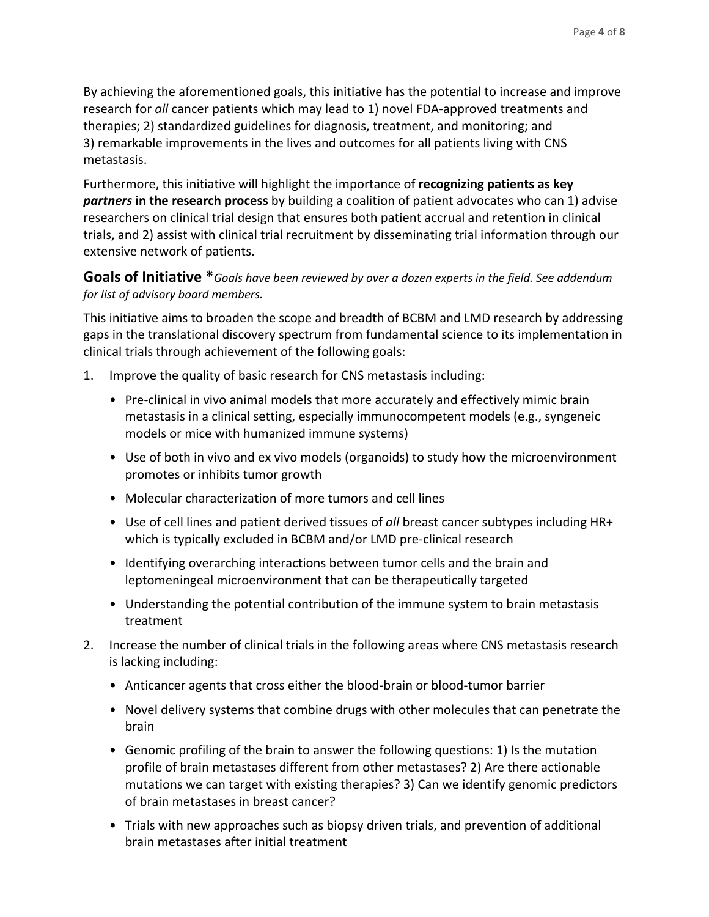By achieving the aforementioned goals, this initiative has the potential to increase and improve research for *all* cancer patients which may lead to 1) novel FDA-approved treatments and therapies; 2) standardized guidelines for diagnosis, treatment, and monitoring; and 3) remarkable improvements in the lives and outcomes for all patients living with CNS metastasis.

Furthermore, this initiative will highlight the importance of **recognizing patients as key**  *partners* **in the research process** by building a coalition of patient advocates who can 1) advise researchers on clinical trial design that ensures both patient accrual and retention in clinical trials, and 2) assist with clinical trial recruitment by disseminating trial information through our extensive network of patients.

#### **Goals of Initiative \****Goals have been reviewed by over a dozen experts in the field. See addendum for list of advisory board members.*

This initiative aims to broaden the scope and breadth of BCBM and LMD research by addressing gaps in the translational discovery spectrum from fundamental science to its implementation in clinical trials through achievement of the following goals:

- 1. Improve the quality of basic research for CNS metastasis including:
	- Pre-clinical in vivo animal models that more accurately and effectively mimic brain metastasis in a clinical setting, especially immunocompetent models (e.g., syngeneic models or mice with humanized immune systems)
	- Use of both in vivo and ex vivo models (organoids) to study how the microenvironment promotes or inhibits tumor growth
	- Molecular characterization of more tumors and cell lines
	- Use of cell lines and patient derived tissues of *all* breast cancer subtypes including HR+ which is typically excluded in BCBM and/or LMD pre-clinical research
	- Identifying overarching interactions between tumor cells and the brain and leptomeningeal microenvironment that can be therapeutically targeted
	- Understanding the potential contribution of the immune system to brain metastasis treatment
- 2. Increase the number of clinical trials in the following areas where CNS metastasis research is lacking including:
	- Anticancer agents that cross either the blood-brain or blood-tumor barrier
	- Novel delivery systems that combine drugs with other molecules that can penetrate the brain
	- Genomic profiling of the brain to answer the following questions: 1) Is the mutation profile of brain metastases different from other metastases? 2) Are there actionable mutations we can target with existing therapies? 3) Can we identify genomic predictors of brain metastases in breast cancer?
	- Trials with new approaches such as biopsy driven trials, and prevention of additional brain metastases after initial treatment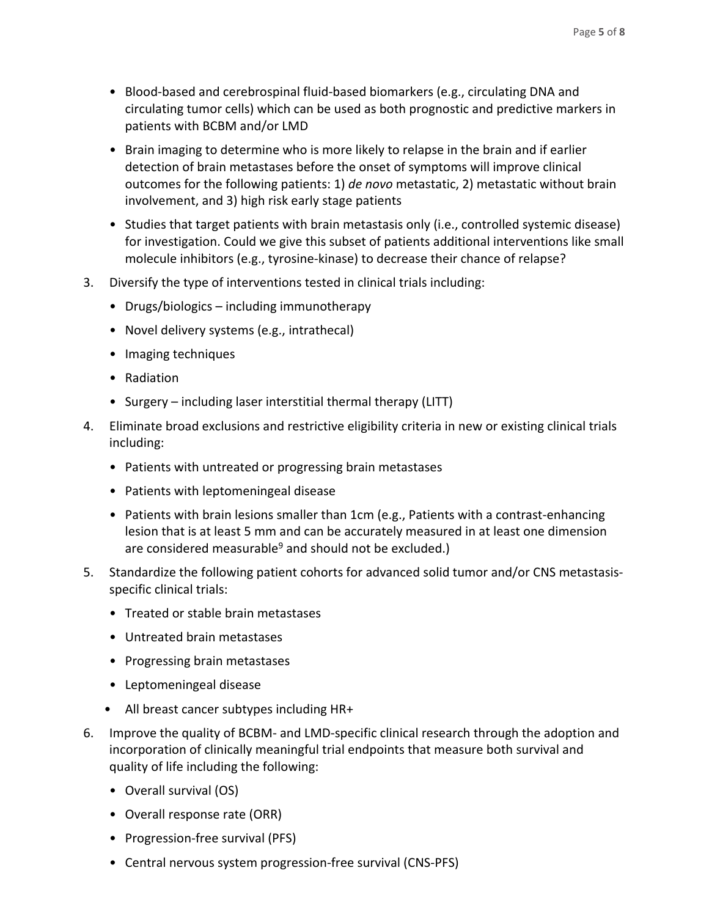- Blood-based and cerebrospinal fluid-based biomarkers (e.g., circulating DNA and circulating tumor cells) which can be used as both prognostic and predictive markers in patients with BCBM and/or LMD
- Brain imaging to determine who is more likely to relapse in the brain and if earlier detection of brain metastases before the onset of symptoms will improve clinical outcomes for the following patients: 1) *de novo* metastatic, 2) metastatic without brain involvement, and 3) high risk early stage patients
- Studies that target patients with brain metastasis only (i.e., controlled systemic disease) for investigation. Could we give this subset of patients additional interventions like small molecule inhibitors (e.g., tyrosine-kinase) to decrease their chance of relapse?
- 3. Diversify the type of interventions tested in clinical trials including:
	- Drugs/biologics including immunotherapy
	- Novel delivery systems (e.g., intrathecal)
	- Imaging techniques
	- Radiation
	- Surgery including laser interstitial thermal therapy (LITT)
- 4. Eliminate broad exclusions and restrictive eligibility criteria in new or existing clinical trials including:
	- Patients with untreated or progressing brain metastases
	- Patients with leptomeningeal disease
	- Patients with brain lesions smaller than 1cm (e.g., Patients with a contrast-enhancing lesion that is at least 5 mm and can be accurately measured in at least one dimension are considered measurable $9$  and should not be excluded.)
- 5. Standardize the following patient cohorts for advanced solid tumor and/or CNS metastasisspecific clinical trials:
	- Treated or stable brain metastases
	- Untreated brain metastases
	- Progressing brain metastases
	- Leptomeningeal disease
	- All breast cancer subtypes including HR+
- 6. Improve the quality of BCBM- and LMD-specific clinical research through the adoption and incorporation of clinically meaningful trial endpoints that measure both survival and quality of life including the following:
	- Overall survival (OS)
	- Overall response rate (ORR)
	- Progression-free survival (PFS)
	- Central nervous system progression-free survival (CNS-PFS)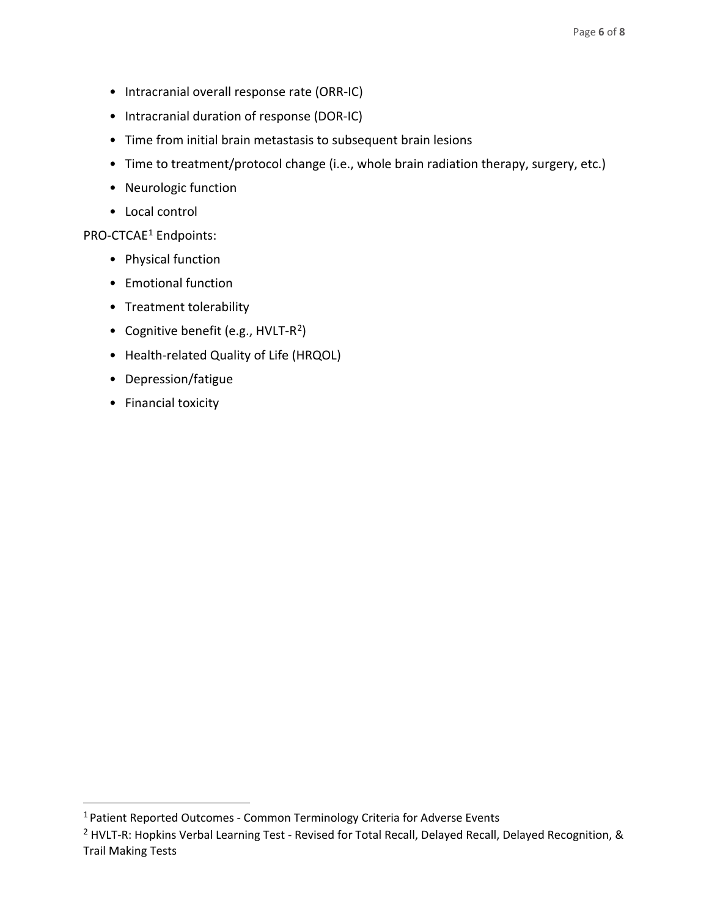- Intracranial overall response rate (ORR-IC)
- Intracranial duration of response (DOR-IC)
- Time from initial brain metastasis to subsequent brain lesions
- Time to treatment/protocol change (i.e., whole brain radiation therapy, surgery, etc.)
- Neurologic function
- Local control

#### PRO-CTCAE<sup>[1](#page-5-0)</sup> Endpoints:

- Physical function
- Emotional function
- Treatment tolerability
- Cognitive benefit (e.g.,  $HVLT-R^2$ )
- Health-related Quality of Life (HRQOL)
- Depression/fatigue
- Financial toxicity

<span id="page-5-0"></span><sup>&</sup>lt;sup>1</sup> Patient Reported Outcomes - Common Terminology Criteria for Adverse Events

<span id="page-5-1"></span><sup>&</sup>lt;sup>2</sup> HVLT-R: Hopkins Verbal Learning Test - Revised for Total Recall, Delayed Recall, Delayed Recognition, & Trail Making Tests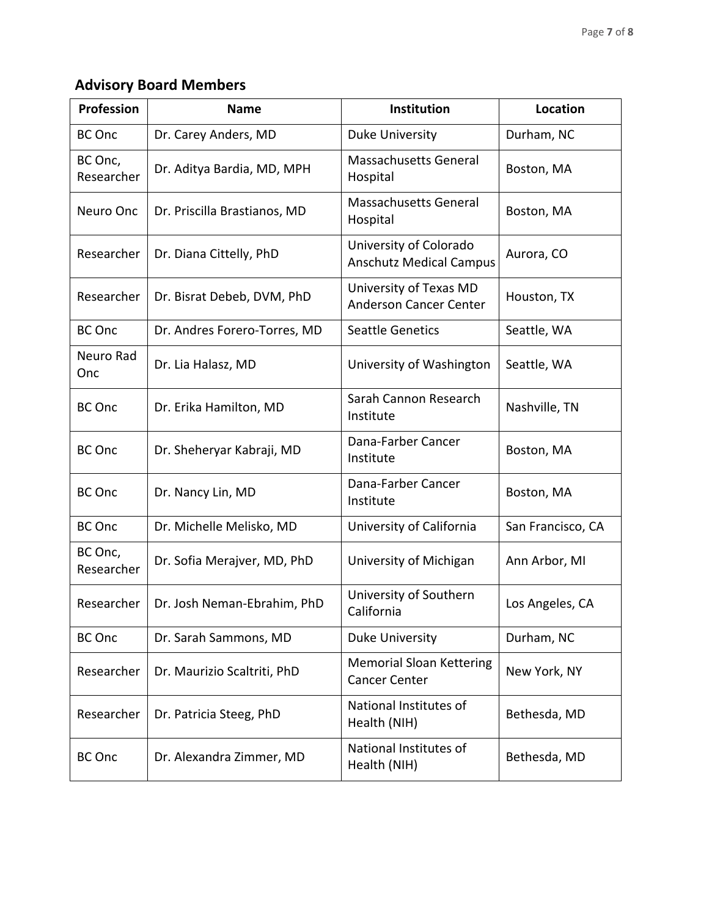# **Advisory Board Members**

| Profession            | <b>Name</b>                  | Institution                                              | <b>Location</b>   |
|-----------------------|------------------------------|----------------------------------------------------------|-------------------|
| <b>BC</b> Onc         | Dr. Carey Anders, MD         | <b>Duke University</b>                                   | Durham, NC        |
| BC Onc,<br>Researcher | Dr. Aditya Bardia, MD, MPH   | Massachusetts General<br>Hospital                        | Boston, MA        |
| Neuro Onc             | Dr. Priscilla Brastianos, MD | Massachusetts General<br>Hospital                        | Boston, MA        |
| Researcher            | Dr. Diana Cittelly, PhD      | University of Colorado<br><b>Anschutz Medical Campus</b> | Aurora, CO        |
| Researcher            | Dr. Bisrat Debeb, DVM, PhD   | University of Texas MD<br><b>Anderson Cancer Center</b>  | Houston, TX       |
| <b>BC</b> Onc         | Dr. Andres Forero-Torres, MD | <b>Seattle Genetics</b>                                  | Seattle, WA       |
| Neuro Rad<br>Onc      | Dr. Lia Halasz, MD           | University of Washington                                 | Seattle, WA       |
| <b>BC Onc</b>         | Dr. Erika Hamilton, MD       | Sarah Cannon Research<br>Institute                       | Nashville, TN     |
| <b>BC</b> Onc         | Dr. Sheheryar Kabraji, MD    | Dana-Farber Cancer<br>Institute                          | Boston, MA        |
| <b>BC Onc</b>         | Dr. Nancy Lin, MD            | Dana-Farber Cancer<br>Institute                          | Boston, MA        |
| <b>BC</b> Onc         | Dr. Michelle Melisko, MD     | University of California                                 | San Francisco, CA |
| BC Onc,<br>Researcher | Dr. Sofia Merajver, MD, PhD  | University of Michigan                                   | Ann Arbor, MI     |
| Researcher            | Dr. Josh Neman-Ebrahim, PhD  | University of Southern<br>California                     | Los Angeles, CA   |
| <b>BC</b> Onc         | Dr. Sarah Sammons, MD        | <b>Duke University</b>                                   | Durham, NC        |
| Researcher            | Dr. Maurizio Scaltriti, PhD  | <b>Memorial Sloan Kettering</b><br><b>Cancer Center</b>  | New York, NY      |
| Researcher            | Dr. Patricia Steeg, PhD      | National Institutes of<br>Health (NIH)                   | Bethesda, MD      |
| <b>BC</b> Onc         | Dr. Alexandra Zimmer, MD     | National Institutes of<br>Health (NIH)                   | Bethesda, MD      |